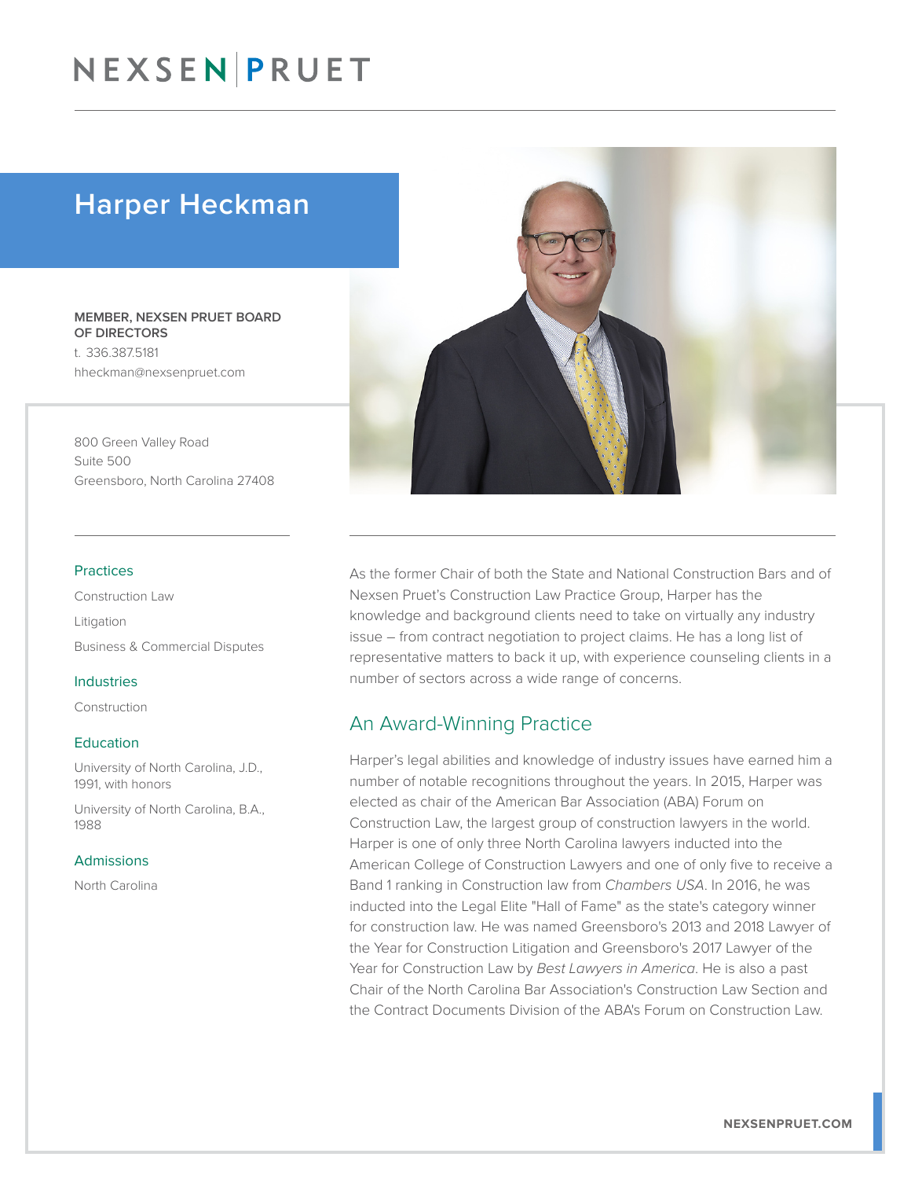# NEXSEN PRUET

# Harper Heckman

MEMBER, NEXSEN PRUET BOARD OF DIRECTORS t. 336.387.5181 hheckman@nexsenpruet.com

800 Green Valley Road Suite 500 Greensboro, North Carolina 27408

#### Practices

Construction Law Litigation Business & Commercial Disputes

#### Industries

Construction

#### Education

University of North Carolina, J.D., 1991, with honors

University of North Carolina, B.A., 1988

#### Admissions

North Carolina



As the former Chair of both the State and National Construction Bars and of Nexsen Pruet's Construction Law Practice Group, Harper has the knowledge and background clients need to take on virtually any industry issue – from contract negotiation to project claims. He has a long list of representative matters to back it up, with experience counseling clients in a number of sectors across a wide range of concerns.

### An Award-Winning Practice

Harper's legal abilities and knowledge of industry issues have earned him a number of notable recognitions throughout the years. In 2015, Harper was elected as chair of the American Bar Association (ABA) Forum on Construction Law, the largest group of construction lawyers in the world. Harper is one of only three North Carolina lawyers inducted into the American College of Construction Lawyers and one of only five to receive a Band 1 ranking in Construction law from *Chambers USA*. In 2016, he was inducted into the Legal Elite "Hall of Fame" as the state's category winner for construction law. He was named Greensboro's 2013 and 2018 Lawyer of the Year for Construction Litigation and Greensboro's 2017 Lawyer of the Year for Construction Law by *Best Lawyers in America*. He is also a past Chair of the North Carolina Bar Association's Construction Law Section and the Contract Documents Division of the ABA's Forum on Construction Law.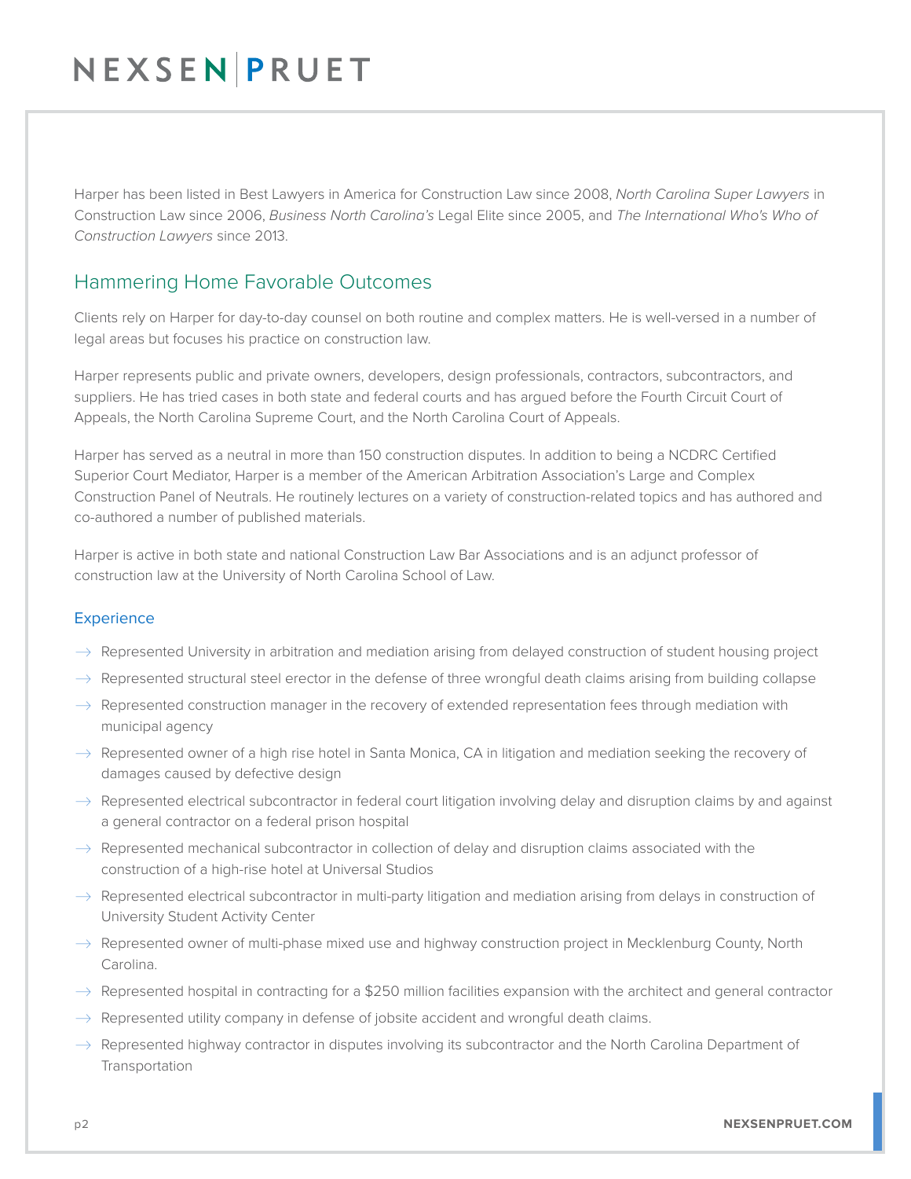# NEXSENPRUET

Harper has been listed in Best Lawyers in America for Construction Law since 2008, *North Carolina Super Lawyers* in Construction Law since 2006, *Business North Carolina's* Legal Elite since 2005, and *The International Who's Who of Construction Lawyers* since 2013.

## Hammering Home Favorable Outcomes

Clients rely on Harper for day-to-day counsel on both routine and complex matters. He is well-versed in a number of legal areas but focuses his practice on construction law.

Harper represents public and private owners, developers, design professionals, contractors, subcontractors, and suppliers. He has tried cases in both state and federal courts and has argued before the Fourth Circuit Court of Appeals, the North Carolina Supreme Court, and the North Carolina Court of Appeals.

Harper has served as a neutral in more than 150 construction disputes. In addition to being a NCDRC Certified Superior Court Mediator, Harper is a member of the American Arbitration Association's Large and Complex Construction Panel of Neutrals. He routinely lectures on a variety of construction-related topics and has authored and co-authored a number of published materials.

Harper is active in both state and national Construction Law Bar Associations and is an adjunct professor of construction law at the University of North Carolina School of Law.

### **Experience**

- $\rightarrow$  Represented University in arbitration and mediation arising from delayed construction of student housing project
- $\rightarrow$  Represented structural steel erector in the defense of three wrongful death claims arising from building collapse
- $\rightarrow$  Represented construction manager in the recovery of extended representation fees through mediation with municipal agency
- $\rightarrow$  Represented owner of a high rise hotel in Santa Monica, CA in litigation and mediation seeking the recovery of damages caused by defective design
- $\rightarrow$  Represented electrical subcontractor in federal court litigation involving delay and disruption claims by and against a general contractor on a federal prison hospital
- $\rightarrow$  Represented mechanical subcontractor in collection of delay and disruption claims associated with the construction of a high-rise hotel at Universal Studios
- $\rightarrow$  Represented electrical subcontractor in multi-party litigation and mediation arising from delays in construction of University Student Activity Center
- $\rightarrow$  Represented owner of multi-phase mixed use and highway construction project in Mecklenburg County, North Carolina.
- $\rightarrow$  Represented hospital in contracting for a \$250 million facilities expansion with the architect and general contractor
- $\rightarrow$  Represented utility company in defense of jobsite accident and wrongful death claims.
- $\rightarrow$  Represented highway contractor in disputes involving its subcontractor and the North Carolina Department of Transportation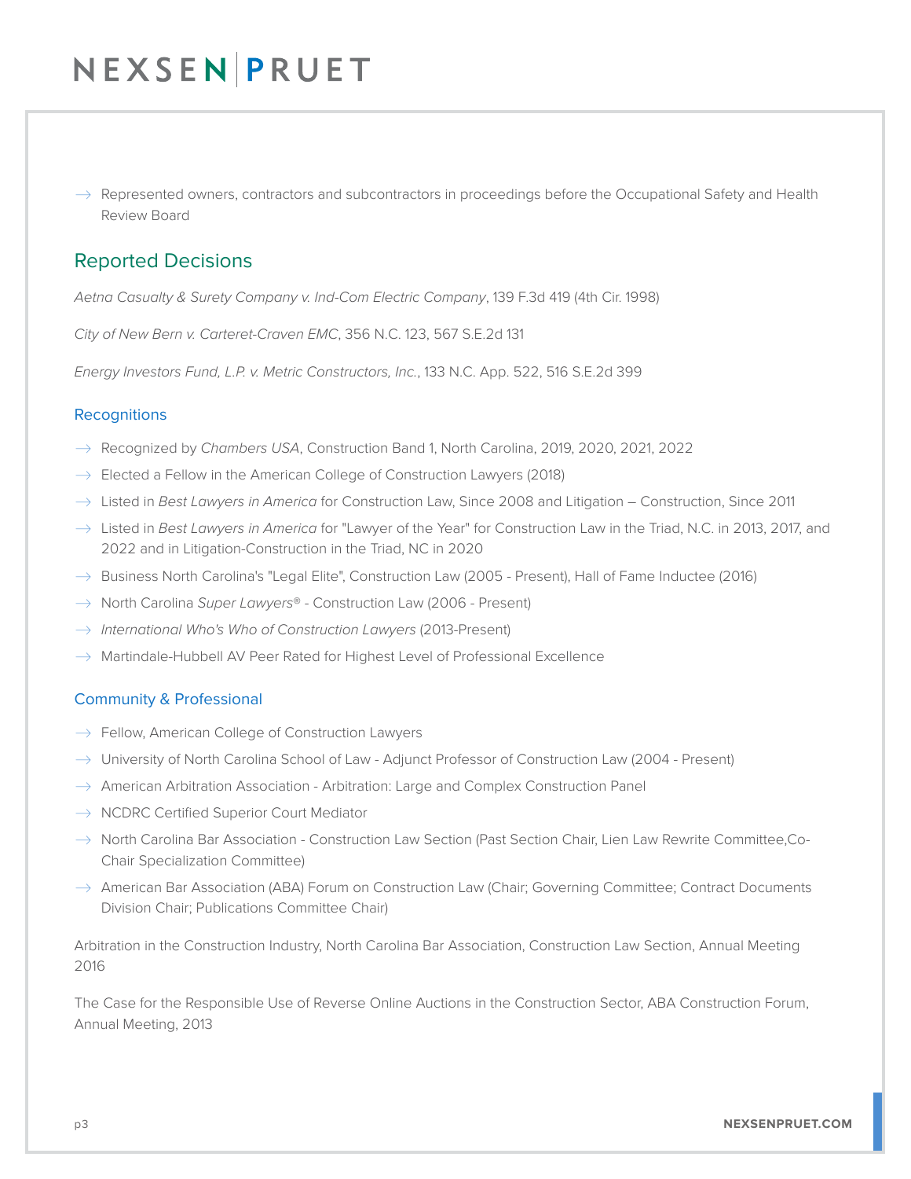# NEXSEN PRUET

 $\rightarrow$  Represented owners, contractors and subcontractors in proceedings before the Occupational Safety and Health Review Board

### Reported Decisions

*Aetna Casualty & Surety Company v. Ind-Com Electric Company*, 139 F.3d 419 (4th Cir. 1998)

*City of New Bern v. Carteret-Craven EMC*, 356 N.C. 123, 567 S.E.2d 131

*Energy Investors Fund, L.P. v. Metric Constructors, Inc.*, 133 N.C. App. 522, 516 S.E.2d 399

### **Recognitions**

- � Recognized by *Chambers USA*, Construction Band 1, North Carolina, 2019, 2020, 2021, 2022
- $\rightarrow$  Elected a Fellow in the American College of Construction Lawyers (2018)
- � Listed in *Best Lawyers in America* for Construction Law, Since 2008 and Litigation Construction, Since 2011
- $\rightarrow$  Listed in *Best Lawyers in America* for "Lawyer of the Year" for Construction Law in the Triad, N.C. in 2013, 2017, and 2022 and in Litigation-Construction in the Triad, NC in 2020
- $\rightarrow$  Business North Carolina's "Legal Elite", Construction Law (2005 Present), Hall of Fame Inductee (2016)
- � North Carolina *Super Lawyers*® Construction Law (2006 Present)
- � *International Who's Who of Construction Lawyers* (2013-Present)
- $\rightarrow$  Martindale-Hubbell AV Peer Rated for Highest Level of Professional Excellence

#### Community & Professional

- $\rightarrow$  Fellow, American College of Construction Lawyers
- $\rightarrow$  University of North Carolina School of Law Adjunct Professor of Construction Law (2004 Present)
- $\rightarrow$  American Arbitration Association Arbitration: Large and Complex Construction Panel
- $\rightarrow$  NCDRC Certified Superior Court Mediator
- $\rightarrow$  North Carolina Bar Association Construction Law Section (Past Section Chair, Lien Law Rewrite Committee,Co-Chair Specialization Committee)
- $\rightarrow$  American Bar Association (ABA) Forum on Construction Law (Chair; Governing Committee; Contract Documents Division Chair; Publications Committee Chair)

Arbitration in the Construction Industry, North Carolina Bar Association, Construction Law Section, Annual Meeting 2016

The Case for the Responsible Use of Reverse Online Auctions in the Construction Sector, ABA Construction Forum, Annual Meeting, 2013